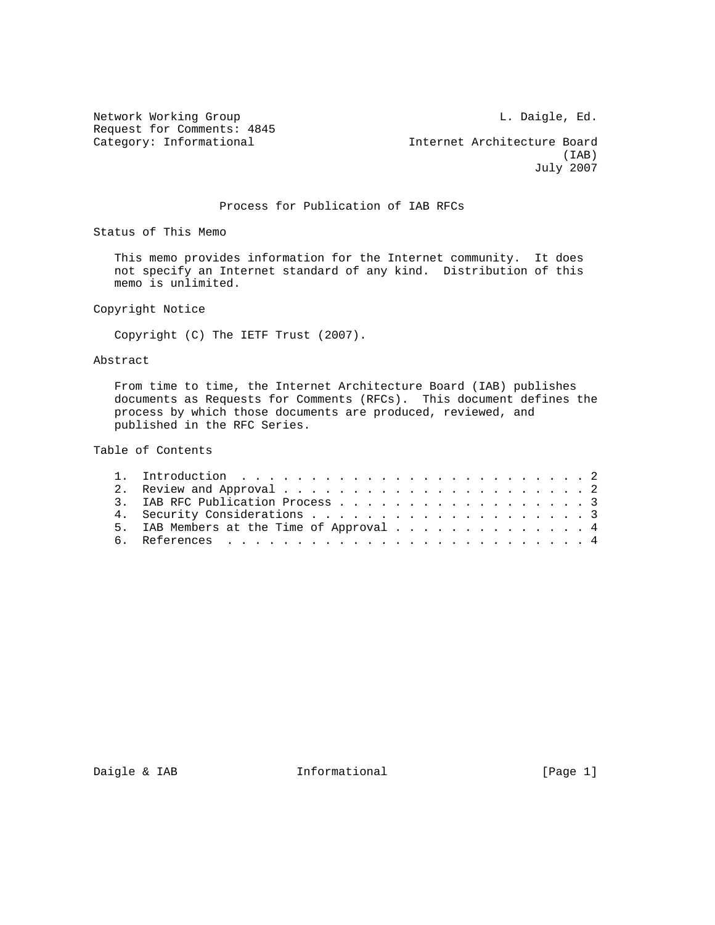Network Working Group and the contract of the U. Daigle, Ed. Request for Comments: 4845<br>Category: Informational

Internet Architecture Board<br>(IAB)  $(IAB)$ July 2007

## Process for Publication of IAB RFCs

Status of This Memo

 This memo provides information for the Internet community. It does not specify an Internet standard of any kind. Distribution of this memo is unlimited.

Copyright Notice

Copyright (C) The IETF Trust (2007).

## Abstract

 From time to time, the Internet Architecture Board (IAB) publishes documents as Requests for Comments (RFCs). This document defines the process by which those documents are produced, reviewed, and published in the RFC Series.

Table of Contents

| 3. IAB RFC Publication Process 3         |
|------------------------------------------|
|                                          |
| 5. IAB Members at the Time of Approval 4 |
|                                          |
|                                          |

Daigle & IAB **Informational** [Page 1]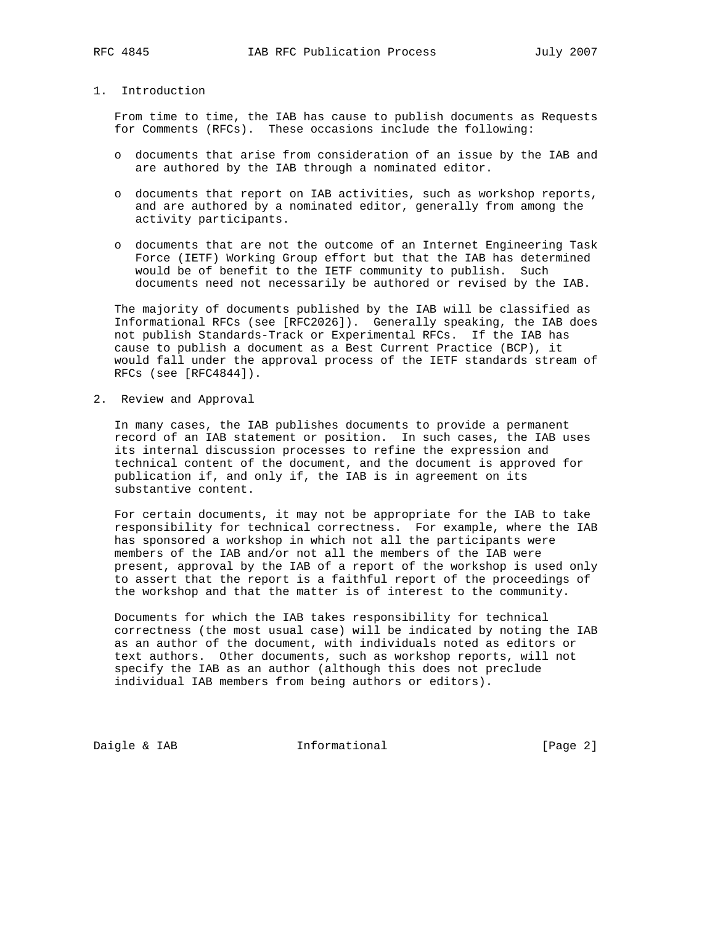## 1. Introduction

 From time to time, the IAB has cause to publish documents as Requests for Comments (RFCs). These occasions include the following:

- o documents that arise from consideration of an issue by the IAB and are authored by the IAB through a nominated editor.
- o documents that report on IAB activities, such as workshop reports, and are authored by a nominated editor, generally from among the activity participants.
- o documents that are not the outcome of an Internet Engineering Task Force (IETF) Working Group effort but that the IAB has determined would be of benefit to the IETF community to publish. Such documents need not necessarily be authored or revised by the IAB.

 The majority of documents published by the IAB will be classified as Informational RFCs (see [RFC2026]). Generally speaking, the IAB does not publish Standards-Track or Experimental RFCs. If the IAB has cause to publish a document as a Best Current Practice (BCP), it would fall under the approval process of the IETF standards stream of RFCs (see [RFC4844]).

2. Review and Approval

 In many cases, the IAB publishes documents to provide a permanent record of an IAB statement or position. In such cases, the IAB uses its internal discussion processes to refine the expression and technical content of the document, and the document is approved for publication if, and only if, the IAB is in agreement on its substantive content.

 For certain documents, it may not be appropriate for the IAB to take responsibility for technical correctness. For example, where the IAB has sponsored a workshop in which not all the participants were members of the IAB and/or not all the members of the IAB were present, approval by the IAB of a report of the workshop is used only to assert that the report is a faithful report of the proceedings of the workshop and that the matter is of interest to the community.

 Documents for which the IAB takes responsibility for technical correctness (the most usual case) will be indicated by noting the IAB as an author of the document, with individuals noted as editors or text authors. Other documents, such as workshop reports, will not specify the IAB as an author (although this does not preclude individual IAB members from being authors or editors).

Daigle & IAB **Informational** [Page 2]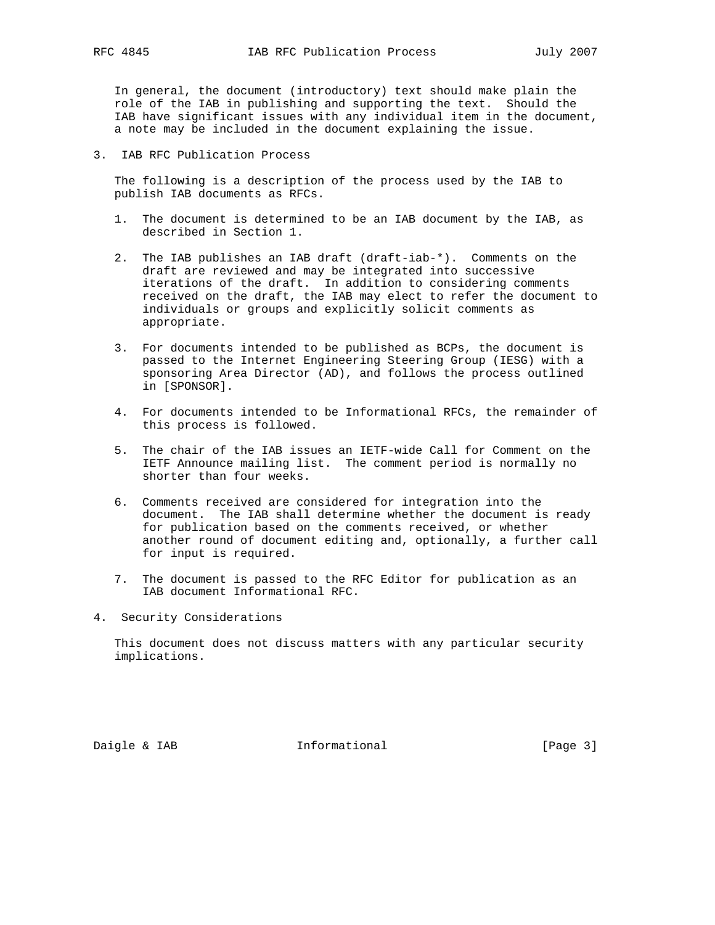In general, the document (introductory) text should make plain the role of the IAB in publishing and supporting the text. Should the IAB have significant issues with any individual item in the document, a note may be included in the document explaining the issue.

3. IAB RFC Publication Process

 The following is a description of the process used by the IAB to publish IAB documents as RFCs.

- 1. The document is determined to be an IAB document by the IAB, as described in Section 1.
- 2. The IAB publishes an IAB draft (draft-iab-\*). Comments on the draft are reviewed and may be integrated into successive iterations of the draft. In addition to considering comments received on the draft, the IAB may elect to refer the document to individuals or groups and explicitly solicit comments as appropriate.
- 3. For documents intended to be published as BCPs, the document is passed to the Internet Engineering Steering Group (IESG) with a sponsoring Area Director (AD), and follows the process outlined in [SPONSOR].
- 4. For documents intended to be Informational RFCs, the remainder of this process is followed.
- 5. The chair of the IAB issues an IETF-wide Call for Comment on the IETF Announce mailing list. The comment period is normally no shorter than four weeks.
- 6. Comments received are considered for integration into the document. The IAB shall determine whether the document is ready for publication based on the comments received, or whether another round of document editing and, optionally, a further call for input is required.
- 7. The document is passed to the RFC Editor for publication as an IAB document Informational RFC.
- 4. Security Considerations

 This document does not discuss matters with any particular security implications.

Daigle & IAB **Informational Informational** [Page 3]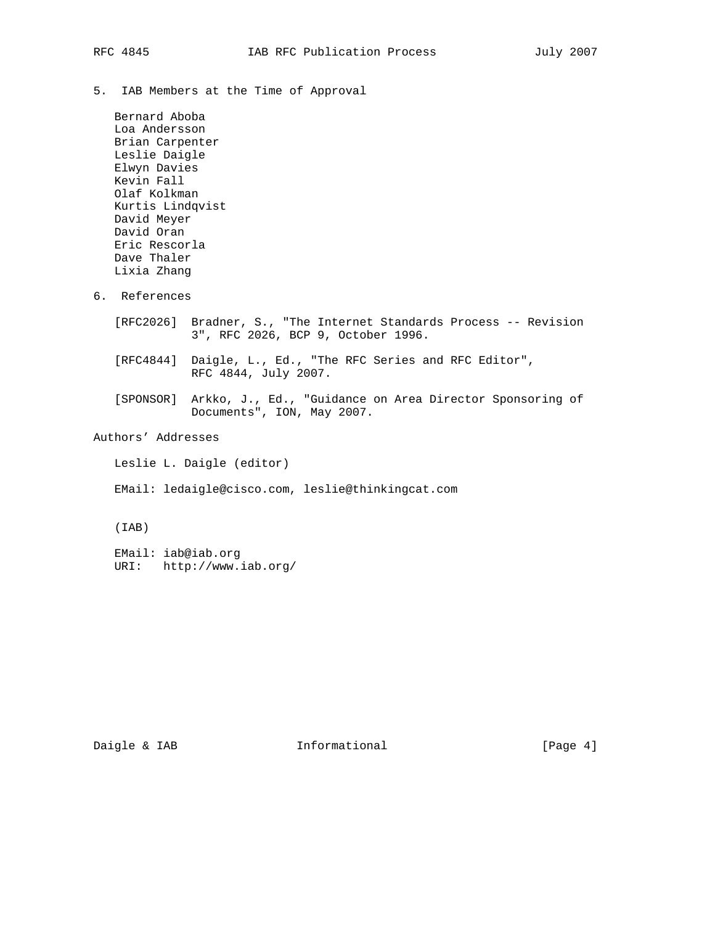5. IAB Members at the Time of Approval

 Bernard Aboba Loa Andersson Brian Carpenter Leslie Daigle Elwyn Davies Kevin Fall Olaf Kolkman Kurtis Lindqvist David Meyer David Oran Eric Rescorla Dave Thaler Lixia Zhang

- 6. References
	- [RFC2026] Bradner, S., "The Internet Standards Process -- Revision 3", RFC 2026, BCP 9, October 1996.
	- [RFC4844] Daigle, L., Ed., "The RFC Series and RFC Editor", RFC 4844, July 2007.
- [SPONSOR] Arkko, J., Ed., "Guidance on Area Director Sponsoring of Documents", ION, May 2007.

## Authors' Addresses

Leslie L. Daigle (editor)

EMail: ledaigle@cisco.com, leslie@thinkingcat.com

(IAB)

 EMail: iab@iab.org URI: http://www.iab.org/

Daigle & IAB **Informational** [Page 4]